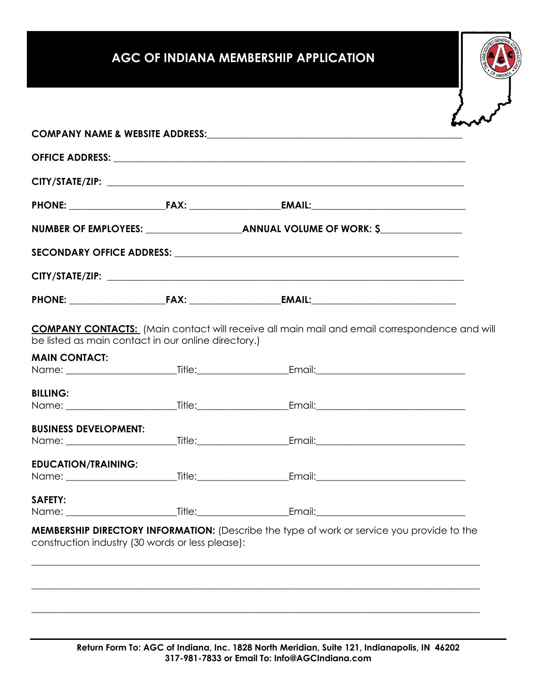# **AGC OF INDIANA MEMBERSHIP APPLICATION**

|                                                                                                |  | SECONDARY OFFICE ADDRESS: <b>A CONSESSED ASSESS</b> AND THE CONDITIONAL CONSERVATION OF THE CONDITION OF THE CONDITION |  |  |
|------------------------------------------------------------------------------------------------|--|------------------------------------------------------------------------------------------------------------------------|--|--|
|                                                                                                |  |                                                                                                                        |  |  |
|                                                                                                |  |                                                                                                                        |  |  |
|                                                                                                |  | <b>COMPANY CONTACTS:</b> (Main contact will receive all main mail and email correspondence and will                    |  |  |
|                                                                                                |  |                                                                                                                        |  |  |
| be listed as main contact in our online directory.)<br><b>MAIN CONTACT:</b><br><b>BILLING:</b> |  |                                                                                                                        |  |  |
|                                                                                                |  |                                                                                                                        |  |  |
| <b>BUSINESS DEVELOPMENT:</b>                                                                   |  |                                                                                                                        |  |  |
|                                                                                                |  |                                                                                                                        |  |  |
| <b>EDUCATION/TRAINING:</b><br><b>SAFETY:</b>                                                   |  |                                                                                                                        |  |  |

\_\_\_\_\_\_\_\_\_\_\_\_\_\_\_\_\_\_\_\_\_\_\_\_\_\_\_\_\_\_\_\_\_\_\_\_\_\_\_\_\_\_\_\_\_\_\_\_\_\_\_\_\_\_\_\_\_\_\_\_\_\_\_\_\_\_\_\_\_\_\_\_\_\_\_\_\_\_\_\_\_\_\_\_\_\_\_\_\_\_\_\_\_